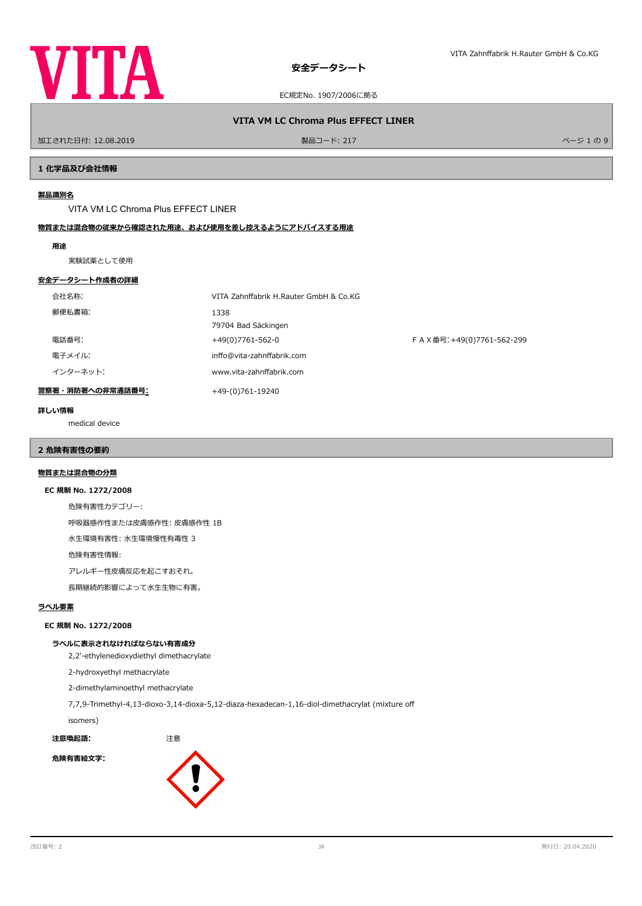

# **VITA VM LC Chroma Plus EFFECT LINER**

ールエされた日付: 12.08.2019 しかい インター・シー・ファイル リード: 217 スター・コンピュータ かいしょう かいしょう かいしょう かいしょう スター・シー・バージ 1 の 9

# **1 化学品及び会社情報**

# **製品識別名**

VITA VM LC Chroma Plus EFFECT LINER

# **物質または混合物の従来から確認された用途、および使用を差し控えるようにアドバイスする用途**

### **用途**

実験試薬として使用

### **安全データシート作成者の詳細**

| 会社名称:            | VITA Zahnffabrik H.Rauter GmbH & Co.KG |                           |
|------------------|----------------------------------------|---------------------------|
| 郵便私書箱:           | 1338<br>79704 Bad Säckingen            |                           |
| 電話番号:            | +49(0)7761-562-0                       | FAX番号: +49(0)7761-562-299 |
| 電子メイル:           | inffo@vita-zahnffabrik.com             |                           |
| インターネット:         | www.vita-zahnffabrik.com               |                           |
| 警察署・消防署への非常通話番号: | +49-(0)761-19240                       |                           |

### **詳しい情報**

medical device

# **2 危険有害性の要約**

# **物質または混合物の分類**

### **EC 規制 No. 1272/2008**

危険有害性カテゴリー:

呼吸器感作性または皮膚感作性: 皮膚感作性 1B

水生環境有害性: 水生環境慢性有毒性 3

危険有害性情報:

アレルギー性皮膚反応を起こすおそれ。

長期継続的影響によって水生生物に有害。

# **ラベル要素**

# **EC 規制 No. 1272/2008**

### **ラベルに表示されなければならない有害成分**

2,2'-ethylenedioxydiethyl dimethacrylate

2-hydroxyethyl methacrylate

2-dimethylaminoethyl methacrylate

7,7,9-Trimethyl-4,13-dioxo-3,14-dioxa-5,12-diaza-hexadecan-1,16-diol-dimethacrylat (mixture of

isomers)

**注意喚起語:** 注意 **危険有害絵文字:**

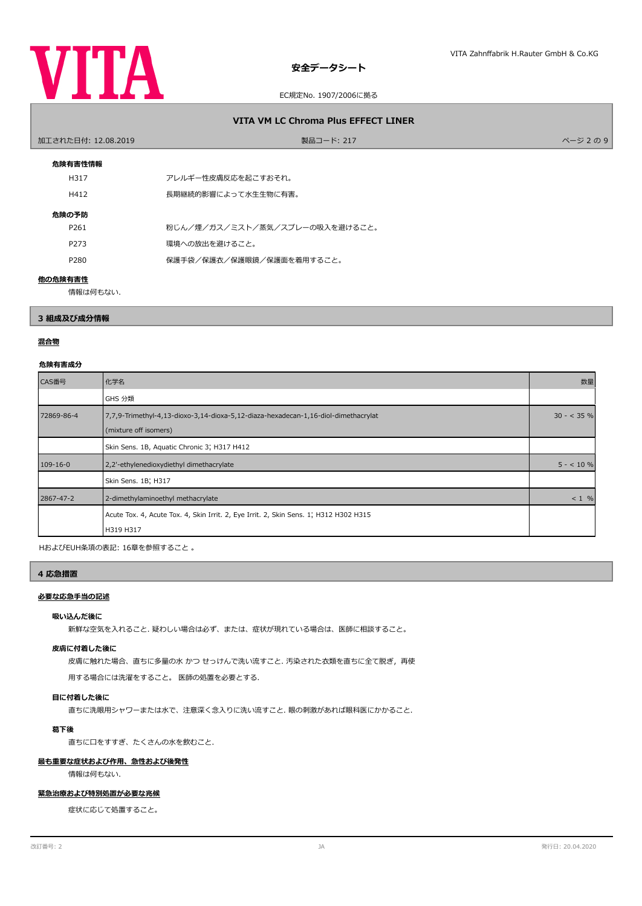

# EC規定No. 1907/2006に拠る

# **VITA VM LC Chroma Plus EFFECT LINER**

| 加工された日付: 12.08.2019 | 製品コード: 217                     | ページ2の9 |
|---------------------|--------------------------------|--------|
| 危険有害性情報             |                                |        |
| H317                | アレルギー性皮膚反応を起こすおそれ。             |        |
| H412                | 長期継続的影響によって水生生物に有害。            |        |
| 危険の予防               |                                |        |
| P261                | 粉じん/煙/ガス/ミスト/蒸気/スプレーの吸入を避けること。 |        |
| P273                | 環境への放出を避けること。                  |        |
| P280                | 保護手袋/保護衣/保護眼鏡/保護面を着用すること。      |        |
| 他の危険有害性             |                                |        |

情報は何もない.

# **3 組成及び成分情報**

# **混合物**

### **危険有害成分**

| CAS番号          | 化学名                                                                                                         | 数量           |
|----------------|-------------------------------------------------------------------------------------------------------------|--------------|
|                | GHS 分類                                                                                                      |              |
| 72869-86-4     | 7,7,9-Trimethyl-4,13-dioxo-3,14-dioxa-5,12-diaza-hexadecan-1,16-diol-dimethacrylat<br>(mixture off isomers) | $30 - 535$ % |
|                | Skin Sens. 1B, Aquatic Chronic 3; H317 H412                                                                 |              |
| $109 - 16 - 0$ | 2,2'-ethylenedioxydiethyl dimethacrylate                                                                    | $5 - 10 \%$  |
|                | Skin Sens. 1B; H317                                                                                         |              |
| 2867-47-2      | 2-dimethylaminoethyl methacrylate                                                                           | $< 1$ %      |
|                | Acute Tox. 4, Acute Tox. 4, Skin Irrit. 2, Eye Irrit. 2, Skin Sens. 1, H312 H302 H315<br>H319 H317          |              |

HおよびEUH条項の表記: 16章を参照すること 。

### **4 応急措置**

# **必要な応急手当の記述**

# **吸い込んだ後に**

新鮮な空気を入れること. 疑わしい場合は必ず、または、症状が現れている場合は、医師に相談すること。

### **皮膚に付着した後に**

皮膚に触れた場合、直ちに多量の水 かつ せっけんで洗い流すこと. 汚染された衣類を直ちに全て脱ぎ,再使

用する場合には洗濯をすること。 医師の処置を必要とする.

### **目に付着した後に**

直ちに洗眼用シャワーまたは水で、注意深く念入りに洗い流すこと. 眼の刺激があれば眼科医にかかること.

# **葛下後**

直ちに口をすすぎ、たくさんの水を飲むこと.

# **最も重要な症状および作用、急性および後発性**

情報は何もない.

### **緊急治療および特別処置が必要な兆候**

症状に応じて処置すること。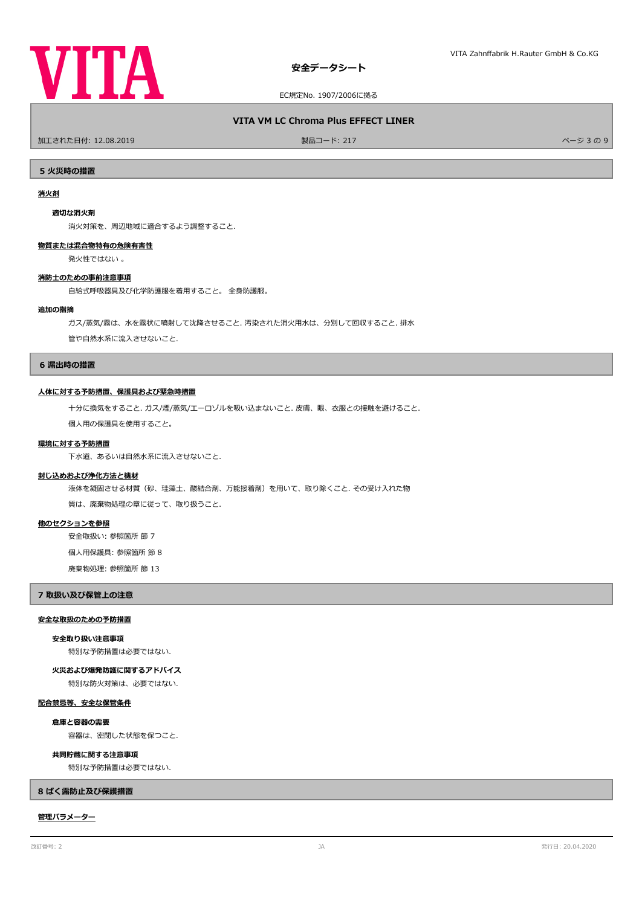

# **VITA VM LC Chroma Plus EFFECT LINER**

加工された日付: 12.08.2019 製品コード: 217 ページ 3 の 9

**5 火災時の措置**

# **消火剤**

#### **適切な消火剤**

消火対策を、周辺地域に適合するよう調整すること.

### **物質または混合物特有の危険有害性**

発火性ではない 。

### **消防士のための事前注意事項**

自給式呼吸器具及び化学防護服を着用すること。 全身防護服。

#### **追加の指摘**

ガス/蒸気/霧は、水を霧状に噴射して沈降させること. 汚染された消火用水は、分別して回収すること. 排水

管や自然水系に流入させないこと.

### **6 漏出時の措置**

### **人体に対する予防措置、保護具および緊急時措置**

十分に換気をすること. ガス/煙/蒸気/エーロゾルを吸い込まないこと. 皮膚、眼、衣服との接触を避けること.

個人用の保護具を使用すること。

### **環境に対する予防措置**

下水道、あるいは自然水系に流入させないこと.

#### **封じ込めおよび浄化方法と機材**

液体を凝固させる材質(砂、珪藻土、酸結合剤、万能接着剤)を用いて、取り除くこと. その受け入れた物

質は、廃棄物処理の章に従って、取り扱うこと.

### **他のセクションを参照**

安全取扱い: 参照箇所 節 7

個人用保護具: 参照箇所 節 8

廃棄物処理: 参照箇所 節 13

### **7 取扱い及び保管上の注意**

### **安全な取扱のための予防措置**

**安全取り扱い注意事項**

特別な予防措置は必要ではない.

**火災および爆発防護に関するアドバイス**

特別な防火対策は、必要ではない.

# **配合禁忌等、安全な保管条件**

**倉庫と容器の需要**

容器は、密閉した状態を保つこと.

### **共同貯蔵に関する注意事項**

特別な予防措置は必要ではない.

### **8 ばく露防止及び保護措置**

### **管理パラメーター**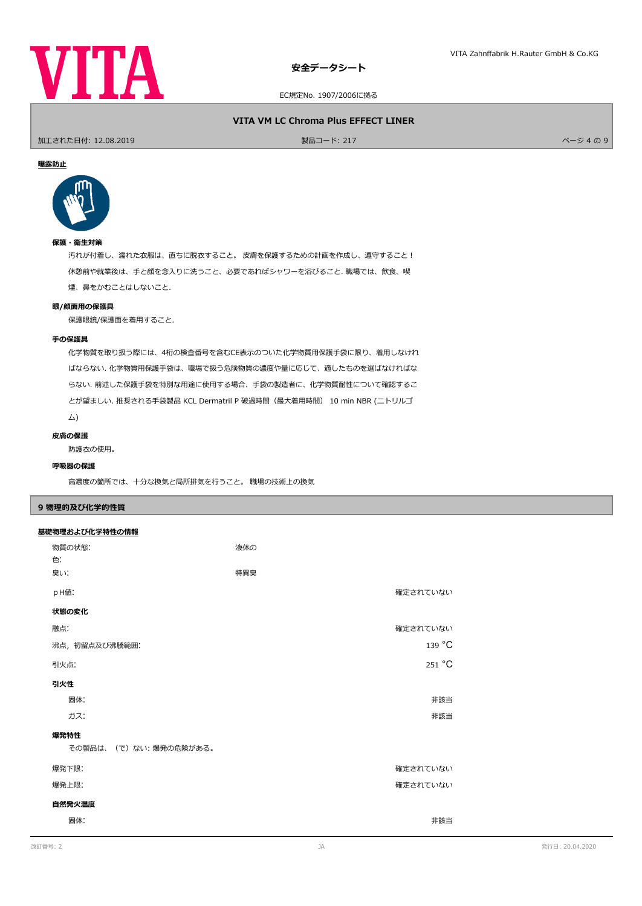

EC規定No. 1907/2006に拠る

# **VITA VM LC Chroma Plus EFFECT LINER**

ールエされた日付: 12.08.2019 しかい インター・シーク かんきょう かんきょう 製品コード: 217 しかい インター・シーク かんきょう スページ 4 の 9

### **曝露防止**



# **保護・衛生対策**

汚れが付着し、濡れた衣服は、直ちに脱衣すること。 皮膚を保護するための計画を作成し、遵守すること! 休憩前や就業後は、手と顔を念入りに洗うこと、必要であればシャワーを浴びること. 職場では、飲食、喫 煙、鼻をかむことはしないこと.

### **眼/顔面用の保護具**

保護眼鏡/保護面を着用すること.

### **手の保護具**

化学物質を取り扱う際には、4桁の検査番号を含むCE表示のついた化学物質用保護手袋に限り、着用しなけれ ばならない. 化学物質用保護手袋は、職場で扱う危険物質の濃度や量に応じて、適したものを選ばなければな らない. 前述した保護手袋を特別な用途に使用する場合、手袋の製造者に、化学物質耐性について確認するこ とが望ましい. 推奨される手袋製品 KCL Dermatril P 破過時間(最大着用時間) 10 min NBR (ニトリルゴ ム)

### **皮膚の保護**

防護衣の使用。

# **呼吸器の保護**

高濃度の箇所では、十分な換気と局所排気を行うこと。 職場の技術上の換気

# **9 物理的及び化学的性質**

# **基礎物理および化学特性の情報**

| 物質の状態:<br>色.<br>臭い:           | 液体の<br>特異臭 |  |
|-------------------------------|------------|--|
| pH値:                          | 確定されていない   |  |
| 状態の変化                         |            |  |
| 融点:                           | 確定されていない   |  |
| 沸点, 初留点及び沸騰範囲:                | 139 °C     |  |
| 引火点:                          | 251 °C     |  |
| 引火性                           |            |  |
| 固体:                           | 非該当        |  |
| ガス:                           | 非該当        |  |
| 爆発特性<br>その製品は、(で)ない:爆発の危険がある。 |            |  |
| 爆発下限:                         | 確定されていない   |  |
| 爆発上限:                         | 確定されていない   |  |
| 自然発火温度                        |            |  |
| 固体:                           | 非該当        |  |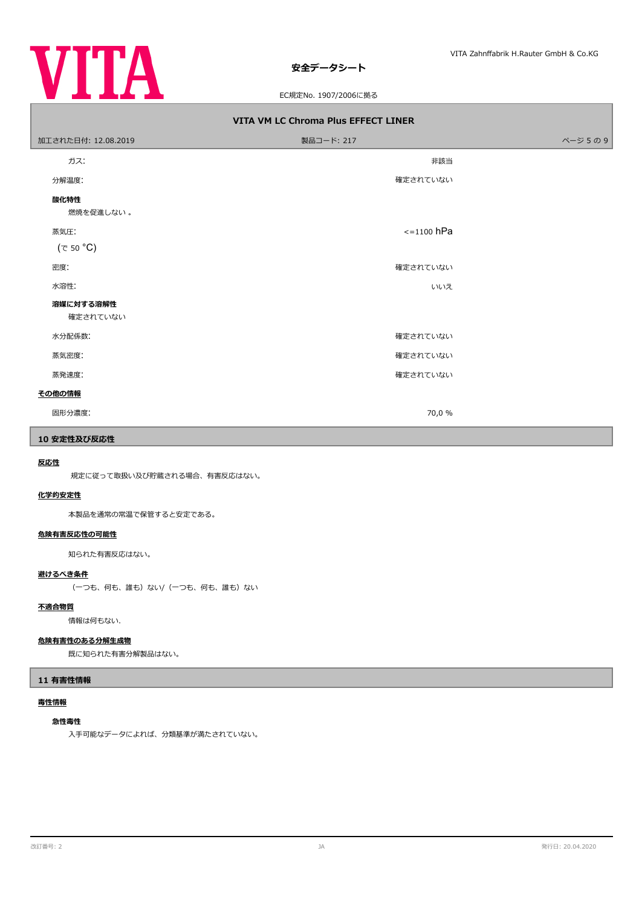

# EC規定No. 1907/2006に拠る

| VITA VM LC Chroma Plus EFFECT LINER |                 |        |  |  |
|-------------------------------------|-----------------|--------|--|--|
| 加工された日付: 12.08.2019                 | 製品コード: 217      | ページ5の9 |  |  |
| ガス:                                 | 非該当             |        |  |  |
| 分解温度:                               | 確定されていない        |        |  |  |
| 酸化特性<br>燃焼を促進しない。                   |                 |        |  |  |
| 蒸気圧:                                | $\le$ =1100 hPa |        |  |  |
| $(\tau$ 50 °C)                      |                 |        |  |  |
| 密度:                                 | 確定されていない        |        |  |  |
| 水溶性:                                | いいえ             |        |  |  |
| 溶媒に対する溶解性<br>確定されていない               |                 |        |  |  |
| 水分配係数:                              | 確定されていない        |        |  |  |
| 蒸気密度:                               | 確定されていない        |        |  |  |
| 蒸発速度:                               | 確定されていない        |        |  |  |
| その他の情報                              |                 |        |  |  |
| 固形分濃度:                              | 70,0 %          |        |  |  |

# **10 安定性及び反応性**

# **反応性**

規定に従って取扱い及び貯蔵される場合、有害反応はない。

### **化学的安定性**

本製品を通常の常温で保管すると安定である。

### **危険有害反応性の可能性**

知られた有害反応はない。

# **避けるべき条件**

(一つも、何も、誰も)ない/(一つも、何も、誰も)ない

# **不適合物質**

情報は何もない.

# **危険有害性のある分解生成物**

既に知られた有害分解製品はない。

# **11 有害性情報**

# **毒性情報**

#### **急性毒性**

入手可能なデータによれば、分類基準が満たされていない。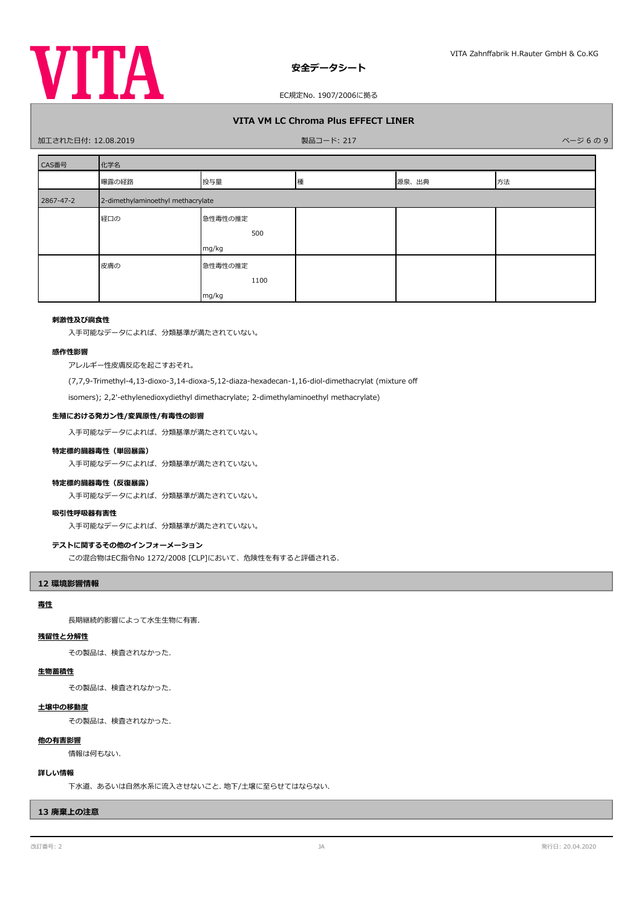

# **VITA VM LC Chroma Plus EFFECT LINER**

### - 加工された日付: 12.08.2019 - インディング・コード: 217 - 東品コード: 217 - インディング・ファイル - イージ 6 の 9 - パージ 6 の 9

| CAS番号     | 化学名                               |         |   |       |    |
|-----------|-----------------------------------|---------|---|-------|----|
|           | 曝露の経路                             | 投与量     | 種 | 源泉、出典 | 方法 |
| 2867-47-2 | 2-dimethylaminoethyl methacrylate |         |   |       |    |
|           | 経口の                               | 急性毒性の推定 |   |       |    |
|           |                                   | 500     |   |       |    |
|           |                                   | mg/kg   |   |       |    |
|           | 皮膚の                               | 急性毒性の推定 |   |       |    |
|           |                                   | 1100    |   |       |    |
|           |                                   | mg/kg   |   |       |    |

# **刺激性及び腐食性**

入手可能なデータによれば、分類基準が満たされていない。

### **感作性影響**

アレルギー性皮膚反応を起こすおそれ。

(7,7,9-Trimethyl-4,13-dioxo-3,14-dioxa-5,12-diaza-hexadecan-1,16-diol-dimethacrylat (mixture of

isomers); 2,2'-ethylenedioxydiethyl dimethacrylate; 2-dimethylaminoethyl methacrylate)

### **生殖における発ガン性/変異原性/有毒性の影響**

入手可能なデータによれば、分類基準が満たされていない。

# **特定標的臓器毒性(単回暴露)**

入手可能なデータによれば、分類基準が満たされていない。

### **特定標的臓器毒性(反復暴露)**

入手可能なデータによれば、分類基準が満たされていない。

### **吸引性呼吸器有害性**

入手可能なデータによれば、分類基準が満たされていない。

### **テストに関するその他のインフォーメーション**

この混合物はEC指令No 1272/2008 [CLP]において、危険性を有すると評価される.

### **12 環境影響情報**

# **毒性**

長期継続的影響によって水生生物に有害.

# **残留性と分解性**

その製品は、検査されなかった.

# **生物蓄積性**

その製品は、検査されなかった.

# **土壌中の移動度**

その製品は、検査されなかった.

### **他の有害影響**

情報は何もない.

# **詳しい情報**

下水道、あるいは自然水系に流入させないこと. 地下/土壌に至らせてはならない.

# **13 廃棄上の注意**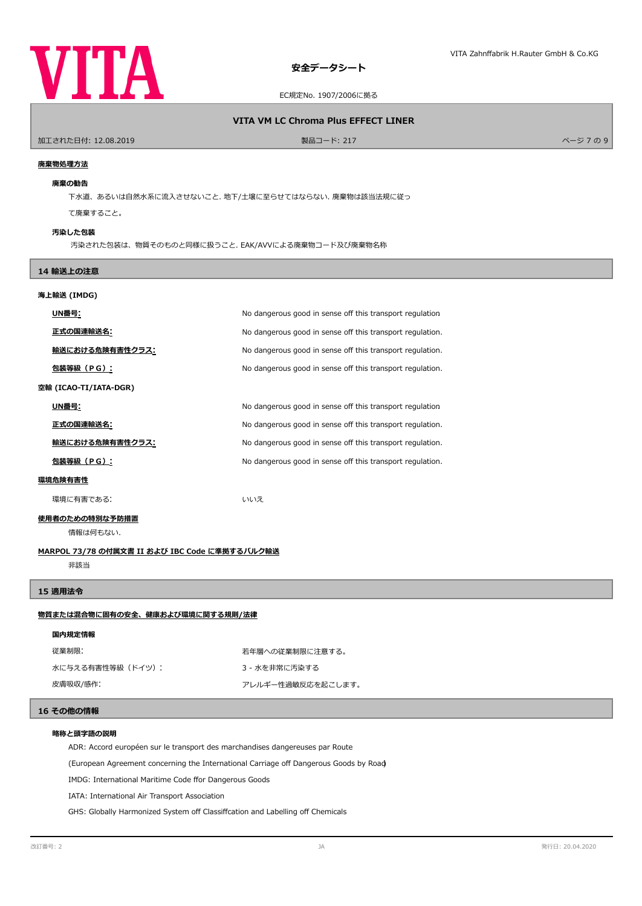

### **VITA VM LC Chroma Plus EFFECT LINER**

加工された日付: 12.08.2019 製品コード: 217 ページ 7 の 9

### **廃棄物処理方法**

### **廃棄の勧告**

下水道、あるいは自然水系に流入させないこと. 地下/土壌に至らせてはならない. 廃棄物は該当法規に従っ

て廃棄すること。

### **汚染した包装**

汚染された包装は、物質そのものと同様に扱うこと. EAK/AVVによる廃棄物コード及び廃棄物名称

# **14 輸送上の注意**

# **海上輸送 (IMDG)**

| UN番号:                  | No dangerous good in sense off this transport regulation  |
|------------------------|-----------------------------------------------------------|
| 正式の国連輸送名:              | No dangerous good in sense off this transport regulation. |
| <u>輸送における危険有害性クラス:</u> | No dangerous good in sense off this transport regulation. |
| 包装等級(PG):              | No dangerous good in sense off this transport regulation. |
| 空輸 (ICAO-TI/IATA-DGR)  |                                                           |
| UN番号:                  | No dangerous good in sense off this transport regulation  |
| 正式の国連輸送名:              | No dangerous good in sense off this transport regulation. |
| 輸送における危険有害性クラス:        | No dangerous good in sense off this transport regulation. |
| 包装等級(PG):              | No dangerous good in sense off this transport regulation. |
| 環境危険有害性                |                                                           |
| 環境に有害である:              | いいえ                                                       |

### **使用者のための特別な予防措置**

情報は何もない.

### **MARPOL 73/78 の付属文書 II および IBC Code に準拠するバルク輸送**

非該当

### **15 適用法令**

# **物質または混合物に固有の安全、健康および環境に関する規則/法律**

従業制限: またのは、およびのおよびのののに、若年層への従業制限に注意する。 水に与える有害性等級(ドイツ): 3 - 水を非常に汚染する

皮膚吸収/感作: アレルギー性過敏反応を起こします。

# **16 その他の情報**

### **略称と頭字語の説明**

ADR: Accord européen sur le transport des marchandises dangereuses par Route

(European Agreement concerning the International Carriage of Dangerous Goods by Road)

IMDG: International Maritime Code ffor Dangerous Goods

IATA: International Air Transport Association

GHS: Globally Harmonized System off Classiffcation and Labelling off Chemicals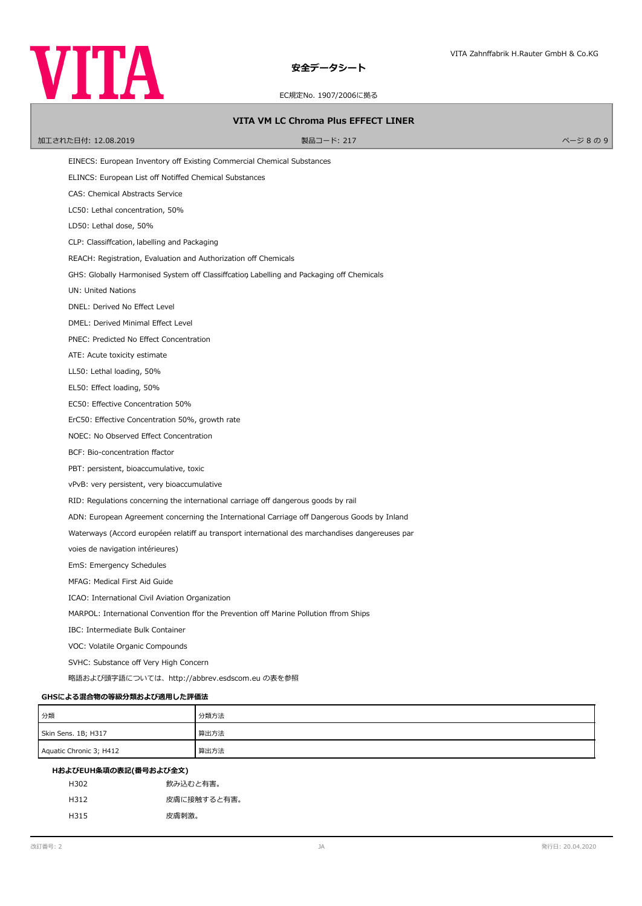EC規定No. 1907/2006に拠る

### **VITA VM LC Chroma Plus EFFECT LINER**

加工された日付: 12.08.2019 製品コード: 217 ページ 8 の 9

EINECS: European Inventory of Existing Commercial Chemical Substances

ELINCS: European List off Notiffed Chemical Substances

CAS: Chemical Abstracts Service

LC50: Lethal concentration, 50%

LD50: Lethal dose, 50%

CLP: Classifcation, labelling and Packaging

REACH: Registration, Evaluation and Authorization off Chemicals

GHS: Globally Harmonised System off Classiffcation Labelling and Packaging off Chemicals

UN: United Nations

DNEL: Derived No Efect Level

DMEL: Derived Minimal Efect Level

PNEC: Predicted No Efect Concentration

ATE: Acute toxicity estimate

LL50: Lethal loading, 50%

EL50: Efect loading, 50%

EC50: Efective Concentration 50%

ErC50: Efective Concentration 50%, growth rate

NOEC: No Observed Efect Concentration

BCF: Bio-concentration factor

PBT: persistent, bioaccumulative, toxic

vPvB: very persistent, very bioaccumulative

RID: Regulations concerning the international carriage off dangerous goods by rail

ADN: European Agreement concerning the International Carriage off Dangerous Goods by Inland

Waterways (Accord européen relatiff au transport international des marchandises dangereuses par

voies de navigation intérieures)

EmS: Emergency Schedules

MFAG: Medical First Aid Guide

ICAO: International Civil Aviation Organization

MARPOL: International Convention ffor the Prevention off Marine Pollution ffrom Ships

IBC: Intermediate Bulk Container

VOC: Volatile Organic Compounds

SVHC: Substance off Very High Concern

略語および頭字語については、http://abbrev.esdscom.eu の表を参照

### **GHSによる混合物の等級分類および適用した評価法**

| 分類                      | 分類方法 |
|-------------------------|------|
| Skin Sens. 1B; H317     | 算出方法 |
| Aquatic Chronic 3; H412 | 算出方法 |

| H302 | 飲み込むと有害。    |
|------|-------------|
| H312 | 皮膚に接触すると有害。 |
| H315 | 皮膚刺激。       |